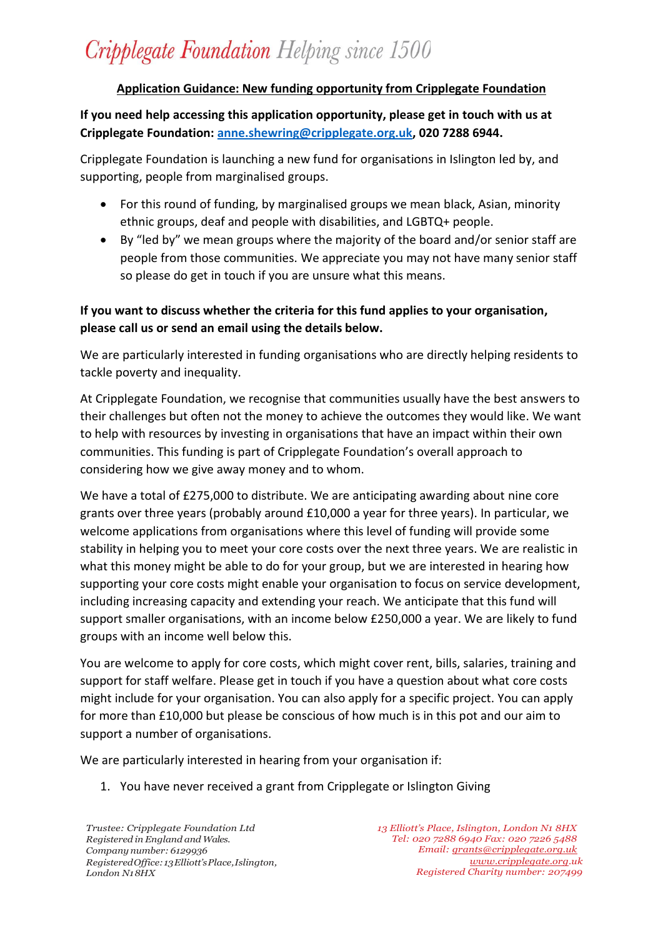# Cripplegate Foundation Helping since 1500

#### **Application Guidance: New funding opportunity from Cripplegate Foundation**

**If you need help accessing this application opportunity, please get in touch with us at Cripplegate Foundation: [anne.shewring@cripplegate.org.uk,](mailto:anne.shewring@cripplegate.org.uk) 020 7288 6944.** 

Cripplegate Foundation is launching a new fund for organisations in Islington led by, and supporting, people from marginalised groups.

- For this round of funding, by marginalised groups we mean black, Asian, minority ethnic groups, deaf and people with disabilities, and LGBTQ+ people.
- By "led by" we mean groups where the majority of the board and/or senior staff are people from those communities. We appreciate you may not have many senior staff so please do get in touch if you are unsure what this means.

### **If you want to discuss whether the criteria for this fund applies to your organisation, please call us or send an email using the details below.**

We are particularly interested in funding organisations who are directly helping residents to tackle poverty and inequality.

At Cripplegate Foundation, we recognise that communities usually have the best answers to their challenges but often not the money to achieve the outcomes they would like. We want to help with resources by investing in organisations that have an impact within their own communities. This funding is part of Cripplegate Foundation's overall approach to considering how we give away money and to whom.

We have a total of £275,000 to distribute. We are anticipating awarding about nine core grants over three years (probably around £10,000 a year for three years). In particular, we welcome applications from organisations where this level of funding will provide some stability in helping you to meet your core costs over the next three years. We are realistic in what this money might be able to do for your group, but we are interested in hearing how supporting your core costs might enable your organisation to focus on service development, including increasing capacity and extending your reach. We anticipate that this fund will support smaller organisations, with an income below £250,000 a year. We are likely to fund groups with an income well below this.

You are welcome to apply for core costs, which might cover rent, bills, salaries, training and support for staff welfare. Please get in touch if you have a question about what core costs might include for your organisation. You can also apply for a specific project. You can apply for more than £10,000 but please be conscious of how much is in this pot and our aim to support a number of organisations.

We are particularly interested in hearing from your organisation if:

1. You have never received a grant from Cripplegate or Islington Giving